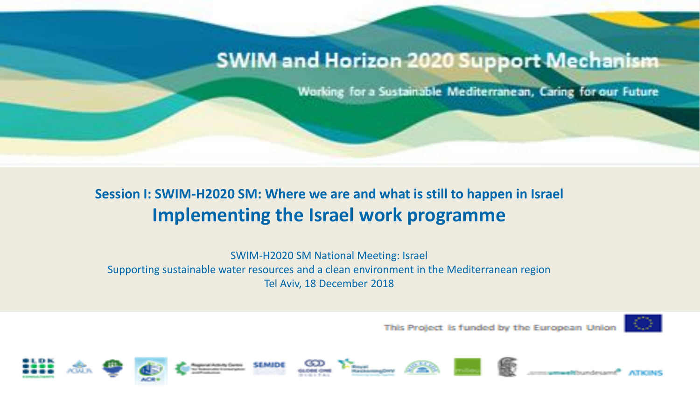# SWIM and Horizon 2020 Support Mechanism

Working for a Sustainable Mediterranean, Caring for our Future

### **Session I: SWIM-H2020 SM: Where we are and what is still to happen in Israel Implementing the Israel work programme**

SWIM-H2020 SM National Meeting: Israel Supporting sustainable water resources and a clean environment in the Mediterranean region Tel Aviv, 18 December 2018

This Project is funded by the European Union



















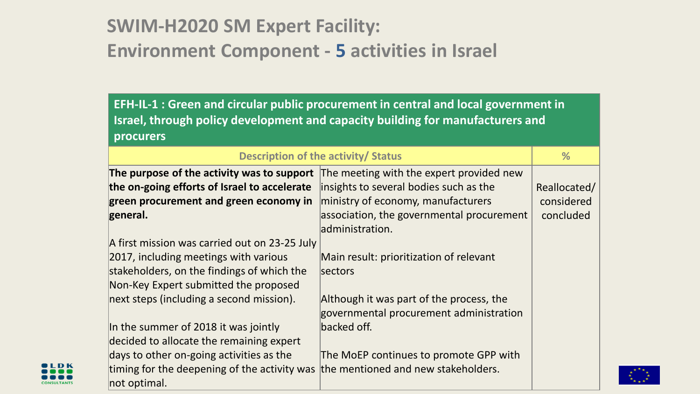# **SWIM-H2020 SM Expert Facility: Environment Component - 5 activities in Israel**

**EFH-IL-1 : Green and circular public procurement in central and local government in Israel, through policy development and capacity building for manufacturers and procurers**

| Description of the activity/ Status                                                                                                                                                                                       |                                                                                                                                              | %                       |
|---------------------------------------------------------------------------------------------------------------------------------------------------------------------------------------------------------------------------|----------------------------------------------------------------------------------------------------------------------------------------------|-------------------------|
| The purpose of the activity was to support<br>the on-going efforts of Israel to accelerate                                                                                                                                | The meeting with the expert provided new<br>insights to several bodies such as the                                                           | Reallocated/            |
| green procurement and green economy in<br>general.                                                                                                                                                                        | ministry of economy, manufacturers<br>association, the governmental procurement<br>administration.                                           | considered<br>concluded |
| A first mission was carried out on 23-25 July<br>2017, including meetings with various<br>stakeholders, on the findings of which the<br>Non-Key Expert submitted the proposed<br>next steps (including a second mission). | Main result: prioritization of relevant<br>sectors                                                                                           |                         |
| In the summer of 2018 it was jointly<br>decided to allocate the remaining expert<br>days to other on-going activities as the                                                                                              | Although it was part of the process, the<br>governmental procurement administration<br>backed off.<br>The MoEP continues to promote GPP with |                         |
| timing for the deepening of the activity was<br>not optimal.                                                                                                                                                              | the mentioned and new stakeholders.                                                                                                          |                         |

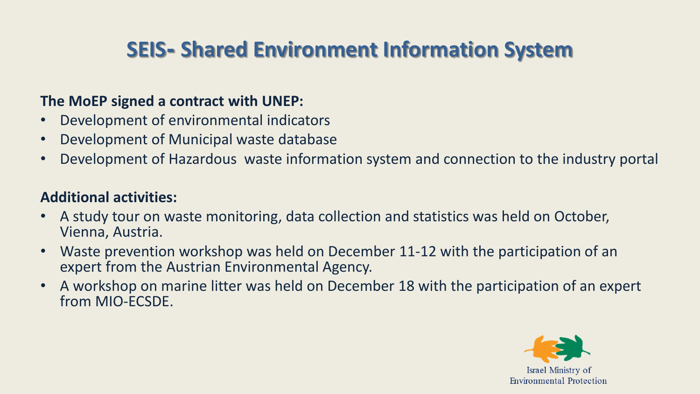# **SEIS- Shared Environment Information System**

### **The MoEP signed a contract with UNEP:**

- Development of environmental indicators
- Development of Municipal waste database
- Development of Hazardous waste information system and connection to the industry portal

### **Additional activities:**

- A study tour on waste monitoring, data collection and statistics was held on October, Vienna, Austria.
- Waste prevention workshop was held on December 11-12 with the participation of an expert from the Austrian Environmental Agency.
- A workshop on marine litter was held on December 18 with the participation of an expert from MIO-ECSDE.

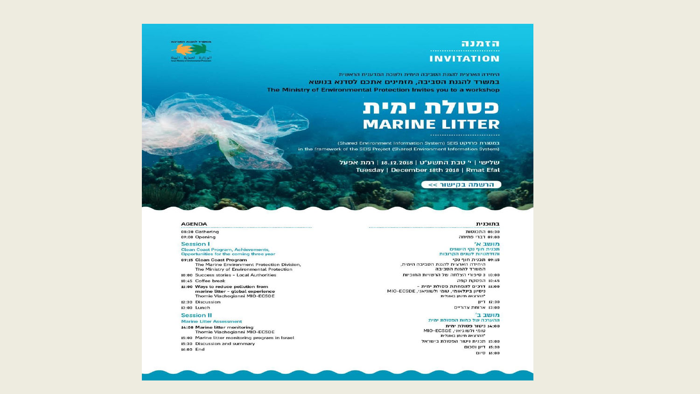

#### הזמנה **INVITATION**

היחידה הארצית להגנת הסביבה הימית ולשכת המדענית הראשית במשרד להגנת הסביבה. מזמינים אתכם לסדנא בנושא The Ministry of Environmental Protection Invites you to a workshop

### פסולת ימית **MARINE LITTER**

Ender Environment Information System) SEIS במסגרת פרויקט in the framework of the SEIS Project (Shared Environment Information System)

> | שלישי | י' טבת התשע"ט | 18.12.2018 | רמת אפעל Tuesday | December 18th 2018 | Rmat Efal

> > הרשמה בקישור >>

#### **AGENDA**

08:30 Gathering 09:00 Opening

#### **Session I**

**Clean Coast Program, Achievements,** Opportunities for the coming three year

- 09:15 Clean Coast Program The Marine Environment Protection Division, The Ministry of Environmental Protection
- 10:00 Success stories Local Authorities
- 10:45 Coffee break
- 11:00 Ways to reduce pollution from marine litter - global experience Thomie Vlachogianni MIO-ECSDE 12:30 Discussion
- 13:00 Lunch

#### **Session II**

#### **Marine Litter Assessment**

- 14:00 Marine litter monitoring Thomie Vlachogianni MIO-ECSDE 15:00 Marine litter monitoring program in Israel
- 15:30 Discussion and summary 16:00 End

#### בתוכנית

08:30 התכנסות 09:00 דברי פתיחה

#### מושב א׳

תכנית חוף נקי הישגים והזדמנויות לשנים הקרובות 09:15 תכנית חוף נקי

היחידה הארצית להגנת הסביבה הימית, המשרד להגנת הסביבה

10:00 3 סיפורי הצלחה של הרשויות החופיות 10:45 הפסקת קפה

- 11:00 דרכים להפחתת פסולת ימית -
- ניסיון בינלאומי, טומי ולשוגיאני, MIO-ECSDE "ההרצאה תינתן באנגלית **II'T 12:30**

13:00 ארוחת צהריים

#### מושב ב'

ההערכה של כמות הפסולת ימית 14:00 ניטור פסולת ימית

טומי ולשוגיאני, MIO-ECSDE "ההרצאה תינתו באנגלית 15:00 תכנית ניטור הפסולת בישראל 15:30 דיון וסכום 16:00 סיום